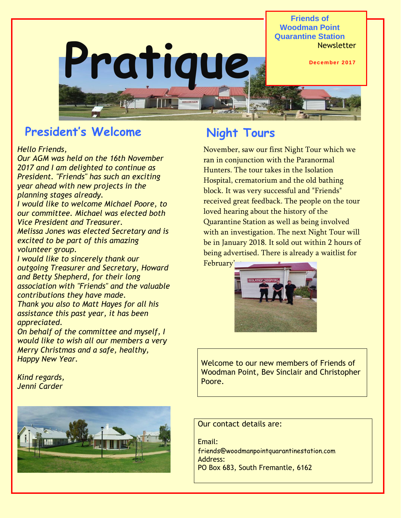**Pratique Friends of Woodman Point Quarantine Station Newsletter December 2017**

# **President's Welcome**

#### *Hello Friends,*

*Our AGM was held on the 16th November 2017 and I am delighted to continue as President. "Friends" has such an exciting year ahead with new projects in the planning stages already.*

*I would like to welcome Michael Poore, to our committee. Michael was elected both Vice President and Treasurer.*

*Melissa Jones was elected Secretary and is excited to be part of this amazing volunteer group.*

*I would like to sincerely thank our outgoing Treasurer and Secretary, Howard and Betty Shepherd, for their long association with "Friends" and the valuable contributions they have made.*

*Thank you also to Matt Hayes for all his assistance this past year, it has been appreciated.*

*On behalf of the committee and myself, I would like to wish all our members a very Merry Christmas and a safe, healthy, Happy New Year.*

*Kind regards, Jenni Carder*



## **Night Tours**

November, saw our first Night Tour which we ran in conjunction with the Paranormal Hunters. The tour takes in the Isolation Hospital, crematorium and the old bathing block. It was very successful and "Friends" received great feedback. The people on the tour loved hearing about the history of the Quarantine Station as well as being involved with an investigation. The next Night Tour will be in January 2018. It sold out within 2 hours of being advertised. There is already a waitlist for February'



Welcome to our new members of Friends of Woodman Point, Bev Sinclair and Christopher Poore.

Our contact details are:

Email: friends@woodmanpointquarantinestation.com Address: PO Box 683, South Fremantle, 6162